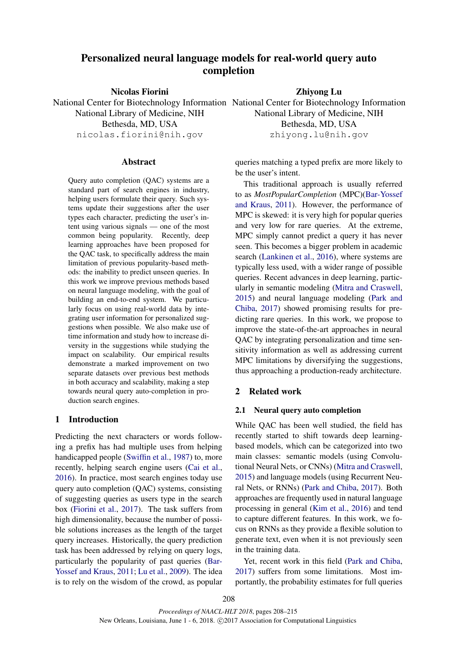# Personalized neural language models for real-world query auto completion

Nicolas Fiorini National Center for Biotechnology Information National Center for Biotechnology Information National Library of Medicine, NIH Bethesda, MD, USA nicolas.fiorini@nih.gov

Zhiyong Lu

National Library of Medicine, NIH Bethesda, MD, USA

zhiyong.lu@nih.gov

# **Abstract**

Query auto completion (QAC) systems are a standard part of search engines in industry, helping users formulate their query. Such systems update their suggestions after the user types each character, predicting the user's intent using various signals — one of the most common being popularity. Recently, deep learning approaches have been proposed for the QAC task, to specifically address the main limitation of previous popularity-based methods: the inability to predict unseen queries. In this work we improve previous methods based on neural language modeling, with the goal of building an end-to-end system. We particularly focus on using real-world data by integrating user information for personalized suggestions when possible. We also make use of time information and study how to increase diversity in the suggestions while studying the impact on scalability. Our empirical results demonstrate a marked improvement on two separate datasets over previous best methods in both accuracy and scalability, making a step towards neural query auto-completion in production search engines.

# 1 Introduction

Predicting the next characters or words following a prefix has had multiple uses from helping handicapped people (Swiffin et al., 1987) to, more recently, helping search engine users (Cai et al., 2016). In practice, most search engines today use query auto completion (QAC) systems, consisting of suggesting queries as users type in the search box (Fiorini et al., 2017). The task suffers from high dimensionality, because the number of possible solutions increases as the length of the target query increases. Historically, the query prediction task has been addressed by relying on query logs, particularly the popularity of past queries (Bar-Yossef and Kraus, 2011; Lu et al., 2009). The idea is to rely on the wisdom of the crowd, as popular queries matching a typed prefix are more likely to be the user's intent.

This traditional approach is usually referred to as *MostPopularCompletion* (MPC)(Bar-Yossef and Kraus, 2011). However, the performance of MPC is skewed: it is very high for popular queries and very low for rare queries. At the extreme, MPC simply cannot predict a query it has never seen. This becomes a bigger problem in academic search (Lankinen et al., 2016), where systems are typically less used, with a wider range of possible queries. Recent advances in deep learning, particularly in semantic modeling (Mitra and Craswell, 2015) and neural language modeling (Park and Chiba, 2017) showed promising results for predicting rare queries. In this work, we propose to improve the state-of-the-art approaches in neural QAC by integrating personalization and time sensitivity information as well as addressing current MPC limitations by diversifying the suggestions, thus approaching a production-ready architecture.

# 2 Related work

#### 2.1 Neural query auto completion

While QAC has been well studied, the field has recently started to shift towards deep learningbased models, which can be categorized into two main classes: semantic models (using Convolutional Neural Nets, or CNNs) (Mitra and Craswell, 2015) and language models (using Recurrent Neural Nets, or RNNs) (Park and Chiba, 2017). Both approaches are frequently used in natural language processing in general (Kim et al., 2016) and tend to capture different features. In this work, we focus on RNNs as they provide a flexible solution to generate text, even when it is not previously seen in the training data.

Yet, recent work in this field (Park and Chiba, 2017) suffers from some limitations. Most importantly, the probability estimates for full queries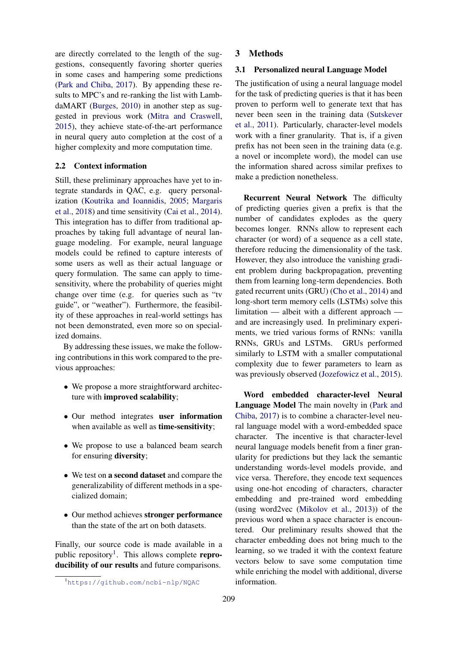are directly correlated to the length of the suggestions, consequently favoring shorter queries in some cases and hampering some predictions (Park and Chiba, 2017). By appending these results to MPC's and re-ranking the list with LambdaMART (Burges, 2010) in another step as suggested in previous work (Mitra and Craswell, 2015), they achieve state-of-the-art performance in neural query auto completion at the cost of a higher complexity and more computation time.

## 2.2 Context information

Still, these preliminary approaches have yet to integrate standards in QAC, e.g. query personalization (Koutrika and Ioannidis, 2005; Margaris et al., 2018) and time sensitivity (Cai et al., 2014). This integration has to differ from traditional approaches by taking full advantage of neural language modeling. For example, neural language models could be refined to capture interests of some users as well as their actual language or query formulation. The same can apply to timesensitivity, where the probability of queries might change over time (e.g. for queries such as "tv guide", or "weather"). Furthermore, the feasibility of these approaches in real-world settings has not been demonstrated, even more so on specialized domains.

By addressing these issues, we make the following contributions in this work compared to the previous approaches:

- We propose a more straightforward architecture with improved scalability;
- Our method integrates user information when available as well as **time-sensitivity**;
- We propose to use a balanced beam search for ensuring diversity;
- We test on a second dataset and compare the generalizability of different methods in a specialized domain;
- Our method achieves stronger performance than the state of the art on both datasets.

Finally, our source code is made available in a public repository<sup>1</sup>. This allows complete reproducibility of our results and future comparisons.

## 3.1 Personalized neural Language Model

The justification of using a neural language model for the task of predicting queries is that it has been proven to perform well to generate text that has never been seen in the training data (Sutskever et al., 2011). Particularly, character-level models work with a finer granularity. That is, if a given prefix has not been seen in the training data (e.g. a novel or incomplete word), the model can use the information shared across similar prefixes to make a prediction nonetheless.

Recurrent Neural Network The difficulty of predicting queries given a prefix is that the number of candidates explodes as the query becomes longer. RNNs allow to represent each character (or word) of a sequence as a cell state, therefore reducing the dimensionality of the task. However, they also introduce the vanishing gradient problem during backpropagation, preventing them from learning long-term dependencies. Both gated recurrent units (GRU) (Cho et al., 2014) and long-short term memory cells (LSTMs) solve this limitation — albeit with a different approach and are increasingly used. In preliminary experiments, we tried various forms of RNNs: vanilla RNNs, GRUs and LSTMs. GRUs performed similarly to LSTM with a smaller computational complexity due to fewer parameters to learn as was previously observed (Jozefowicz et al., 2015).

Word embedded character-level Neural Language Model The main novelty in (Park and Chiba, 2017) is to combine a character-level neural language model with a word-embedded space character. The incentive is that character-level neural language models benefit from a finer granularity for predictions but they lack the semantic understanding words-level models provide, and vice versa. Therefore, they encode text sequences using one-hot encoding of characters, character embedding and pre-trained word embedding (using word2vec (Mikolov et al., 2013)) of the previous word when a space character is encountered. Our preliminary results showed that the character embedding does not bring much to the learning, so we traded it with the context feature vectors below to save some computation time while enriching the model with additional, diverse information.

<sup>3</sup> Methods

<sup>1</sup>https://github.com/ncbi-nlp/NQAC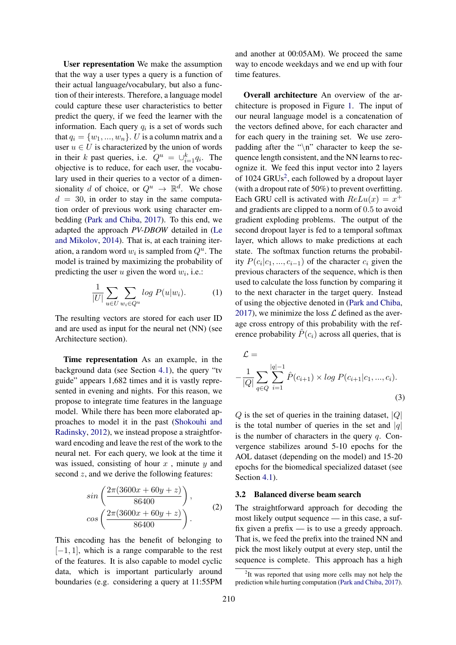User representation We make the assumption that the way a user types a query is a function of their actual language/vocabulary, but also a function of their interests. Therefore, a language model could capture these user characteristics to better predict the query, if we feed the learner with the information. Each query  $q_i$  is a set of words such that  $q_i = \{w_1, ..., w_n\}$ . U is a column matrix and a user  $u \in U$  is characterized by the union of words in their k past queries, i.e.  $Q^u = \bigcup_{i=1}^k q_i$ . The objective is to reduce, for each user, the vocabulary used in their queries to a vector of a dimensionality d of choice, or  $Q^u \to \mathbb{R}^d$ . We chose  $d = 30$ , in order to stay in the same computation order of previous work using character embedding (Park and Chiba, 2017). To this end, we adapted the approach *PV-DBOW* detailed in (Le and Mikolov, 2014). That is, at each training iteration, a random word  $w_i$  is sampled from  $Q^u$ . The model is trained by maximizing the probability of predicting the user  $u$  given the word  $w_i$ , i.e.:

$$
\frac{1}{|U|} \sum_{u \in U} \sum_{w_i \in Q^u} \log P(u|w_i). \tag{1}
$$

The resulting vectors are stored for each user ID and are used as input for the neural net (NN) (see Architecture section).

Time representation As an example, in the background data (see Section 4.1), the query "tv guide" appears 1,682 times and it is vastly represented in evening and nights. For this reason, we propose to integrate time features in the language model. While there has been more elaborated approaches to model it in the past (Shokouhi and Radinsky, 2012), we instead propose a straightforward encoding and leave the rest of the work to the neural net. For each query, we look at the time it was issued, consisting of hour  $x$ , minute  $y$  and second  $z$ , and we derive the following features:

$$
\sin\left(\frac{2\pi(3600x+60y+z)}{86400}\right),\n\cos\left(\frac{2\pi(3600x+60y+z)}{86400}\right).
$$
\n(2)

This encoding has the benefit of belonging to  $[-1, 1]$ , which is a range comparable to the rest of the features. It is also capable to model cyclic data, which is important particularly around boundaries (e.g. considering a query at 11:55PM

and another at 00:05AM). We proceed the same way to encode weekdays and we end up with four time features.

Overall architecture An overview of the architecture is proposed in Figure 1. The input of our neural language model is a concatenation of the vectors defined above, for each character and for each query in the training set. We use zeropadding after the " $\langle n \rangle$ " character to keep the sequence length consistent, and the NN learns to recognize it. We feed this input vector into 2 layers of 1024 GRUs<sup>2</sup>, each followed by a dropout layer (with a dropout rate of 50%) to prevent overfitting. Each GRU cell is activated with  $ReLu(x) = x^{+}$ and gradients are clipped to a norm of 0.5 to avoid gradient exploding problems. The output of the second dropout layer is fed to a temporal softmax layer, which allows to make predictions at each state. The softmax function returns the probability  $P(c_i|c_1, ..., c_{i-1})$  of the character  $c_i$  given the previous characters of the sequence, which is then used to calculate the loss function by comparing it to the next character in the target query. Instead of using the objective denoted in (Park and Chiba, 2017), we minimize the loss  $\mathcal L$  defined as the average cross entropy of this probability with the reference probability  $\hat{P}(c_i)$  across all queries, that is

$$
\mathcal{L} = -\frac{1}{|Q|} \sum_{q \in Q} \sum_{i=1}^{|q|-1} \hat{P}(c_{i+1}) \times \log P(c_{i+1}|c_1, ..., c_i).
$$
\n(3)

 $Q$  is the set of queries in the training dataset,  $|Q|$ is the total number of queries in the set and  $|q|$ is the number of characters in the query  $q$ . Convergence stabilizes around 5-10 epochs for the AOL dataset (depending on the model) and 15-20 epochs for the biomedical specialized dataset (see Section 4.1).

#### 3.2 Balanced diverse beam search

The straightforward approach for decoding the most likely output sequence — in this case, a suffix given a prefix — is to use a greedy approach. That is, we feed the prefix into the trained NN and pick the most likely output at every step, until the sequence is complete. This approach has a high

<sup>&</sup>lt;sup>2</sup>It was reported that using more cells may not help the prediction while hurting computation (Park and Chiba, 2017).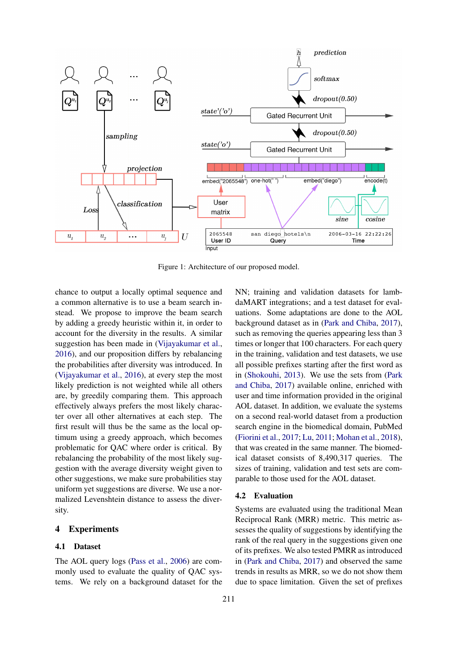

Figure 1: Architecture of our proposed model.

chance to output a locally optimal sequence and a common alternative is to use a beam search instead. We propose to improve the beam search by adding a greedy heuristic within it, in order to account for the diversity in the results. A similar suggestion has been made in (Vijayakumar et al., 2016), and our proposition differs by rebalancing the probabilities after diversity was introduced. In (Vijayakumar et al., 2016), at every step the most likely prediction is not weighted while all others are, by greedily comparing them. This approach effectively always prefers the most likely character over all other alternatives at each step. The first result will thus be the same as the local optimum using a greedy approach, which becomes problematic for QAC where order is critical. By rebalancing the probability of the most likely suggestion with the average diversity weight given to other suggestions, we make sure probabilities stay uniform yet suggestions are diverse. We use a normalized Levenshtein distance to assess the diversity.

# 4 Experiments

#### 4.1 Dataset

The AOL query logs (Pass et al., 2006) are commonly used to evaluate the quality of QAC systems. We rely on a background dataset for the NN; training and validation datasets for lambdaMART integrations; and a test dataset for evaluations. Some adaptations are done to the AOL background dataset as in (Park and Chiba, 2017), such as removing the queries appearing less than 3 times or longer that 100 characters. For each query in the training, validation and test datasets, we use all possible prefixes starting after the first word as in (Shokouhi, 2013). We use the sets from (Park and Chiba, 2017) available online, enriched with user and time information provided in the original AOL dataset. In addition, we evaluate the systems on a second real-world dataset from a production search engine in the biomedical domain, PubMed (Fiorini et al., 2017; Lu, 2011; Mohan et al., 2018), that was created in the same manner. The biomedical dataset consists of 8,490,317 queries. The sizes of training, validation and test sets are comparable to those used for the AOL dataset.

#### 4.2 Evaluation

Systems are evaluated using the traditional Mean Reciprocal Rank (MRR) metric. This metric assesses the quality of suggestions by identifying the rank of the real query in the suggestions given one of its prefixes. We also tested PMRR as introduced in (Park and Chiba, 2017) and observed the same trends in results as MRR, so we do not show them due to space limitation. Given the set of prefixes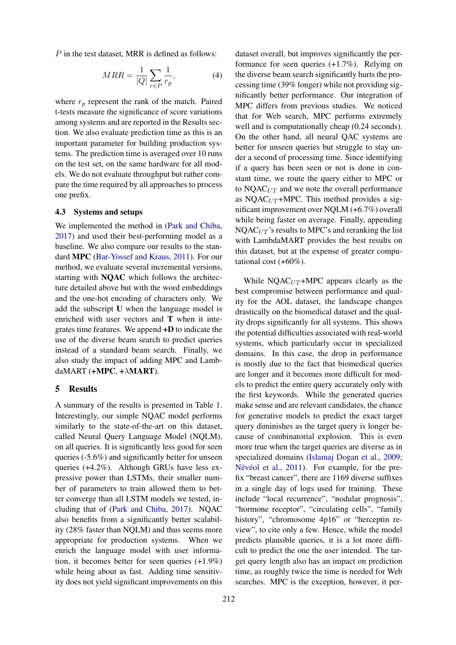$P$  in the test dataset, MRR is defined as follows:

$$
MRR = \frac{1}{|Q|} \sum_{r \in P} \frac{1}{r_p},\tag{4}
$$

where  $r_p$  represent the rank of the match. Paired t-tests measure the significance of score variations among systems and are reported in the Results section. We also evaluate prediction time as this is an important parameter for building production systems. The prediction time is averaged over 10 runs on the test set, on the same hardware for all models. We do not evaluate throughput but rather compare the time required by all approaches to process one prefix.

#### 4.3 Systems and setups

We implemented the method in (Park and Chiba, 2017) and used their best-performing model as a baseline. We also compare our results to the standard MPC (Bar-Yossef and Kraus, 2011). For our method, we evaluate several incremental versions, starting with NQAC which follows the architecture detailed above but with the word embeddings and the one-hot encoding of characters only. We add the subscript U when the language model is enriched with user vectors and T when it integrates time features. We append +D to indicate the use of the diverse beam search to predict queries instead of a standard beam search. Finally, we also study the impact of adding MPC and LambdaMART (+MPC, +λMART).

#### 5 Results

A summary of the results is presented in Table 1. Interestingly, our simple NQAC model performs similarly to the state-of-the-art on this dataset, called Neural Query Language Model (NQLM), on all queries. It is significantly less good for seen queries (-5.6%) and significantly better for unseen queries (+4.2%). Although GRUs have less expressive power than LSTMs, their smaller number of parameters to train allowed them to better converge than all LSTM models we tested, including that of (Park and Chiba, 2017). NQAC also benefits from a significantly better scalability (28% faster than NQLM) and thus seems more appropriate for production systems. When we enrich the language model with user information, it becomes better for seen queries (+1.9%) while being about as fast. Adding time sensitivity does not yield significant improvements on this

dataset overall, but improves significantly the performance for seen queries (+1.7%). Relying on the diverse beam search significantly hurts the processing time (39% longer) while not providing significantly better performance. Our integration of MPC differs from previous studies. We noticed that for Web search, MPC performs extremely well and is computationally cheap (0.24 seconds). On the other hand, all neural QAC systems are better for unseen queries but struggle to stay under a second of processing time. Since identifying if a query has been seen or not is done in constant time, we route the query either to MPC or to  $NQAC_{UT}$  and we note the overall performance as NQAC $_{UT}$ +MPC. This method provides a significant improvement over NQLM (+6.7%) overall while being faster on average. Finally, appending  $NQAC<sub>UT</sub>$ 's results to MPC's and reranking the list with LambdaMART provides the best results on this dataset, but at the expense of greater computational cost  $(+60\%)$ .

While NQAC $_{UT}$ +MPC appears clearly as the best compromise between performance and quality for the AOL dataset, the landscape changes drastically on the biomedical dataset and the quality drops significantly for all systems. This shows the potential difficulties associated with real-world systems, which particularly occur in specialized domains. In this case, the drop in performance is mostly due to the fact that biomedical queries are longer and it becomes more difficult for models to predict the entire query accurately only with the first keywords. While the generated queries make sense and are relevant candidates, the chance for generative models to predict the exact target query diminishes as the target query is longer because of combinatorial explosion. This is even more true when the target queries are diverse as in specialized domains (Islamaj Dogan et al., 2009; Névéol et al., 2011). For example, for the prefix "breast cancer", there are 1169 diverse suffixes in a single day of logs used for training. These include "local recurrence", "nodular prognosis", "hormone receptor", "circulating cells", "family history", "chromosome 4p16" or "herceptin review", to cite only a few. Hence, while the model predicts plausible queries, it is a lot more difficult to predict the one the user intended. The target query length also has an impact on prediction time, as roughly twice the time is needed for Web searches. MPC is the exception, however, it per-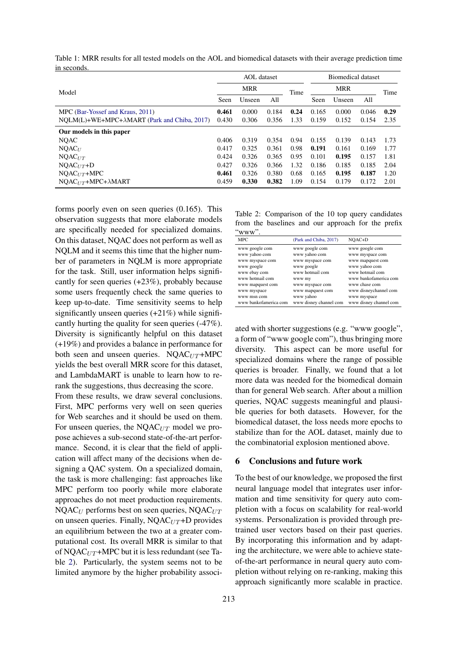|                                                      | <b>AOL</b> dataset |        |       | Biomedical dataset |            |        |       |      |
|------------------------------------------------------|--------------------|--------|-------|--------------------|------------|--------|-------|------|
| Model                                                | <b>MRR</b>         |        |       | Time               | <b>MRR</b> |        |       | Time |
|                                                      | Seen               | Unseen | All   |                    | Seen       | Unseen | All   |      |
| MPC (Bar-Yossef and Kraus, 2011)                     | 0.461              | 0.000  | 0.184 | 0.24               | 0.165      | 0.000  | 0.046 | 0.29 |
| $NOLM(L)+WE+MPC+\lambda MART$ (Park and Chiba, 2017) | 0.430              | 0.306  | 0.356 | 1.33               | 0.159      | 0.152  | 0.154 | 2.35 |
| Our models in this paper                             |                    |        |       |                    |            |        |       |      |
| <b>NQAC</b>                                          | 0.406              | 0.319  | 0.354 | 0.94               | 0.155      | 0.139  | 0.143 | 1.73 |
| $NQAC_U$                                             | 0.417              | 0.325  | 0.361 | 0.98               | 0.191      | 0.161  | 0.169 | 1.77 |
| $NQAC_{UT}$                                          | 0.424              | 0.326  | 0.365 | 0.95               | 0.101      | 0.195  | 0.157 | 1.81 |
| $NOAC_{UT}+D$                                        | 0.427              | 0.326  | 0.366 | 1.32               | 0.186      | 0.185  | 0.185 | 2.04 |
| $NOAC_{UT} + MPC$                                    | 0.461              | 0.326  | 0.380 | 0.68               | 0.165      | 0.195  | 0.187 | 1.20 |
| $NOAC_{UT}+MPC+\lambda MART$                         | 0.459              | 0.330  | 0.382 | 1.09               | 0.154      | 0.179  | 0.172 | 2.01 |

Table 1: MRR results for all tested models on the AOL and biomedical datasets with their average prediction time in seconds.

forms poorly even on seen queries (0.165). This observation suggests that more elaborate models are specifically needed for specialized domains. On this dataset, NQAC does not perform as well as NQLM and it seems this time that the higher number of parameters in NQLM is more appropriate for the task. Still, user information helps significantly for seen queries (+23%), probably because some users frequently check the same queries to keep up-to-date. Time sensitivity seems to help significantly unseen queries  $(+21%)$  while significantly hurting the quality for seen queries (-47%). Diversity is significantly helpful on this dataset (+19%) and provides a balance in performance for both seen and unseen queries.  $NQAC_{UT} + MPC$ yields the best overall MRR score for this dataset, and LambdaMART is unable to learn how to rerank the suggestions, thus decreasing the score.

From these results, we draw several conclusions. First, MPC performs very well on seen queries for Web searches and it should be used on them. For unseen queries, the  $NQAC_{UT}$  model we propose achieves a sub-second state-of-the-art performance. Second, it is clear that the field of application will affect many of the decisions when designing a QAC system. On a specialized domain, the task is more challenging: fast approaches like MPC perform too poorly while more elaborate approaches do not meet production requirements.  $NQAC<sub>U</sub>$  performs best on seen queries,  $NQAC<sub>UT</sub>$ on unseen queries. Finally,  $NQAC_{UT}+D$  provides an equilibrium between the two at a greater computational cost. Its overall MRR is similar to that of NQAC $_{UT}$ +MPC but it is less redundant (see Table 2). Particularly, the system seems not to be limited anymore by the higher probability associ-

Table 2: Comparison of the 10 top query candidates from the baselines and our approach for the prefix  $``www"$ 

| .                     |                        |                        |
|-----------------------|------------------------|------------------------|
| MPC                   | (Park and Chiba, 2017) | NOAC+D                 |
| www google com        | www google com         | www google com         |
| www yahoo com         | www yahoo com          | www myspace com        |
| www myspace com       | www myspace com        | www mapquest com       |
| www google            | www google             | www yahoo com          |
| www ebay com          | www hotmail com        | www hotmail com        |
| www hotmail com       | www my                 | www bankofamerica com  |
| www mapquest com      | www myspace com        | www chase com          |
| www myspace           | www mapquest com       | www disneychannel com  |
| www msn com           | www yahoo              | www myspace            |
| www bankofamerica com | www disney channel com | www disney channel com |
|                       |                        |                        |

ated with shorter suggestions (e.g. "www google", a form of "www google com"), thus bringing more diversity. This aspect can be more useful for specialized domains where the range of possible queries is broader. Finally, we found that a lot more data was needed for the biomedical domain than for general Web search. After about a million queries, NQAC suggests meaningful and plausible queries for both datasets. However, for the biomedical dataset, the loss needs more epochs to stabilize than for the AOL dataset, mainly due to the combinatorial explosion mentioned above.

#### 6 Conclusions and future work

To the best of our knowledge, we proposed the first neural language model that integrates user information and time sensitivity for query auto completion with a focus on scalability for real-world systems. Personalization is provided through pretrained user vectors based on their past queries. By incorporating this information and by adapting the architecture, we were able to achieve stateof-the-art performance in neural query auto completion without relying on re-ranking, making this approach significantly more scalable in practice.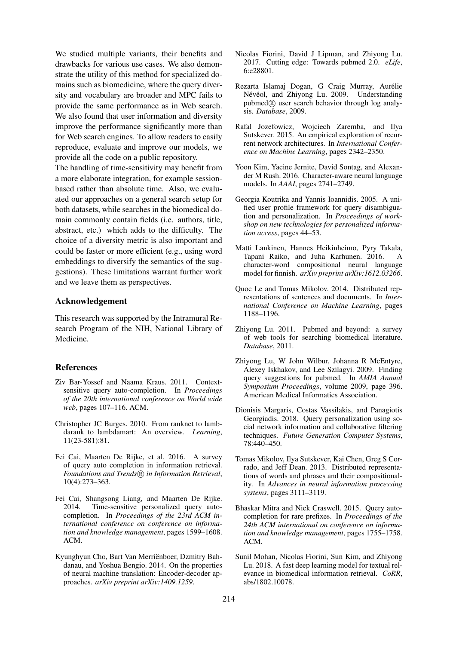We studied multiple variants, their benefits and drawbacks for various use cases. We also demonstrate the utility of this method for specialized domains such as biomedicine, where the query diversity and vocabulary are broader and MPC fails to provide the same performance as in Web search. We also found that user information and diversity improve the performance significantly more than for Web search engines. To allow readers to easily reproduce, evaluate and improve our models, we provide all the code on a public repository.

The handling of time-sensitivity may benefit from a more elaborate integration, for example sessionbased rather than absolute time. Also, we evaluated our approaches on a general search setup for both datasets, while searches in the biomedical domain commonly contain fields (i.e. authors, title, abstract, etc.) which adds to the difficulty. The choice of a diversity metric is also important and could be faster or more efficient (e.g., using word embeddings to diversify the semantics of the suggestions). These limitations warrant further work and we leave them as perspectives.

# Acknowledgement

This research was supported by the Intramural Research Program of the NIH, National Library of Medicine.

## References

- Ziv Bar-Yossef and Naama Kraus. 2011. Contextsensitive query auto-completion. In *Proceedings of the 20th international conference on World wide web*, pages 107–116. ACM.
- Christopher JC Burges. 2010. From ranknet to lambdarank to lambdamart: An overview. *Learning*, 11(23-581):81.
- Fei Cai, Maarten De Rijke, et al. 2016. A survey of query auto completion in information retrieval. *Foundations and Trends*( $\widehat{R}$ ) *in Information Retrieval*, 10(4):273–363.
- Fei Cai, Shangsong Liang, and Maarten De Rijke. 2014. Time-sensitive personalized query autocompletion. In *Proceedings of the 23rd ACM international conference on conference on information and knowledge management*, pages 1599–1608. ACM.
- Kyunghyun Cho, Bart Van Merrienboer, Dzmitry Bah- ¨ danau, and Yoshua Bengio. 2014. On the properties of neural machine translation: Encoder-decoder approaches. *arXiv preprint arXiv:1409.1259*.
- Nicolas Fiorini, David J Lipman, and Zhiyong Lu. 2017. Cutting edge: Towards pubmed 2.0. *eLife*, 6:e28801.
- Rezarta Islamaj Dogan, G Craig Murray, Aurelie ´ Névéol, and Zhiyong Lu. 2009. Understanding pubmed $(R)$  user search behavior through log analysis. *Database*, 2009.
- Rafal Jozefowicz, Wojciech Zaremba, and Ilya Sutskever. 2015. An empirical exploration of recurrent network architectures. In *International Conference on Machine Learning*, pages 2342–2350.
- Yoon Kim, Yacine Jernite, David Sontag, and Alexander M Rush. 2016. Character-aware neural language models. In *AAAI*, pages 2741–2749.
- Georgia Koutrika and Yannis Ioannidis. 2005. A unified user profile framework for query disambiguation and personalization. In *Proceedings of workshop on new technologies for personalized information access*, pages 44–53.
- Matti Lankinen, Hannes Heikinheimo, Pyry Takala, Tapani Raiko, and Juha Karhunen. 2016. character-word compositional neural language model for finnish. *arXiv preprint arXiv:1612.03266*.
- Quoc Le and Tomas Mikolov. 2014. Distributed representations of sentences and documents. In *International Conference on Machine Learning*, pages 1188–1196.
- Zhiyong Lu. 2011. Pubmed and beyond: a survey of web tools for searching biomedical literature. *Database*, 2011.
- Zhiyong Lu, W John Wilbur, Johanna R McEntyre, Alexey Iskhakov, and Lee Szilagyi. 2009. Finding query suggestions for pubmed. In *AMIA Annual Symposium Proceedings*, volume 2009, page 396. American Medical Informatics Association.
- Dionisis Margaris, Costas Vassilakis, and Panagiotis Georgiadis. 2018. Query personalization using social network information and collaborative filtering techniques. *Future Generation Computer Systems*, 78:440–450.
- Tomas Mikolov, Ilya Sutskever, Kai Chen, Greg S Corrado, and Jeff Dean. 2013. Distributed representations of words and phrases and their compositionality. In *Advances in neural information processing systems*, pages 3111–3119.
- Bhaskar Mitra and Nick Craswell. 2015. Query autocompletion for rare prefixes. In *Proceedings of the 24th ACM international on conference on information and knowledge management*, pages 1755–1758. ACM.
- Sunil Mohan, Nicolas Fiorini, Sun Kim, and Zhiyong Lu. 2018. A fast deep learning model for textual relevance in biomedical information retrieval. *CoRR*, abs/1802.10078.